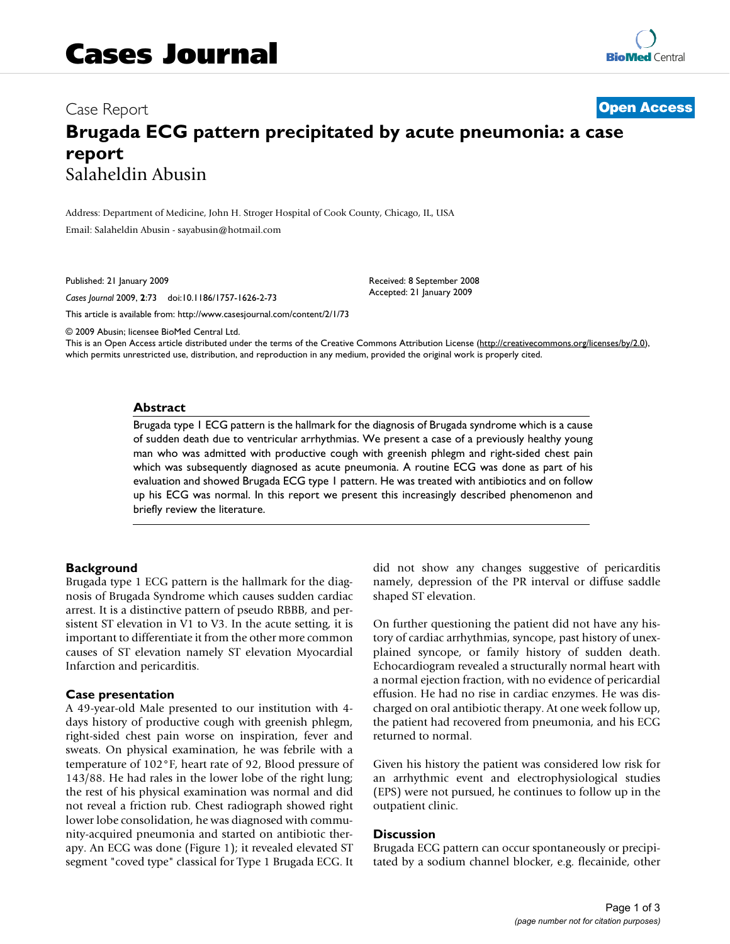# Case Report **[Open Access](http://www.biomedcentral.com/info/about/charter/) Brugada ECG pattern precipitated by acute pneumonia: a case report** Salaheldin Abusin

Address: Department of Medicine, John H. Stroger Hospital of Cook County, Chicago, IL, USA Email: Salaheldin Abusin - sayabusin@hotmail.com

Published: 21 January 2009

*Cases Journal* 2009, **2**:73 doi:10.1186/1757-1626-2-73

[This article is available from: http://www.casesjournal.com/content/2/1/73](http://www.casesjournal.com/content/2/1/73)

© 2009 Abusin; licensee BioMed Central Ltd.

This is an Open Access article distributed under the terms of the Creative Commons Attribution License [\(http://creativecommons.org/licenses/by/2.0\)](http://creativecommons.org/licenses/by/2.0), which permits unrestricted use, distribution, and reproduction in any medium, provided the original work is properly cited.

Received: 8 September 2008 Accepted: 21 January 2009

#### **Abstract**

Brugada type 1 ECG pattern is the hallmark for the diagnosis of Brugada syndrome which is a cause of sudden death due to ventricular arrhythmias. We present a case of a previously healthy young man who was admitted with productive cough with greenish phlegm and right-sided chest pain which was subsequently diagnosed as acute pneumonia. A routine ECG was done as part of his evaluation and showed Brugada ECG type 1 pattern. He was treated with antibiotics and on follow up his ECG was normal. In this report we present this increasingly described phenomenon and briefly review the literature.

#### **Background**

Brugada type 1 ECG pattern is the hallmark for the diagnosis of Brugada Syndrome which causes sudden cardiac arrest. It is a distinctive pattern of pseudo RBBB, and persistent ST elevation in V1 to V3. In the acute setting, it is important to differentiate it from the other more common causes of ST elevation namely ST elevation Myocardial Infarction and pericarditis.

#### **Case presentation**

A 49-year-old Male presented to our institution with 4 days history of productive cough with greenish phlegm, right-sided chest pain worse on inspiration, fever and sweats. On physical examination, he was febrile with a temperature of 102°F, heart rate of 92, Blood pressure of 143/88. He had rales in the lower lobe of the right lung; the rest of his physical examination was normal and did not reveal a friction rub. Chest radiograph showed right lower lobe consolidation, he was diagnosed with community-acquired pneumonia and started on antibiotic therapy. An ECG was done (Figure 1); it revealed elevated ST segment "coved type" classical for Type 1 Brugada ECG. It did not show any changes suggestive of pericarditis namely, depression of the PR interval or diffuse saddle shaped ST elevation.

On further questioning the patient did not have any history of cardiac arrhythmias, syncope, past history of unexplained syncope, or family history of sudden death. Echocardiogram revealed a structurally normal heart with a normal ejection fraction, with no evidence of pericardial effusion. He had no rise in cardiac enzymes. He was discharged on oral antibiotic therapy. At one week follow up, the patient had recovered from pneumonia, and his ECG returned to normal.

Given his history the patient was considered low risk for an arrhythmic event and electrophysiological studies (EPS) were not pursued, he continues to follow up in the outpatient clinic.

#### **Discussion**

Brugada ECG pattern can occur spontaneously or precipitated by a sodium channel blocker, e.g. flecainide, other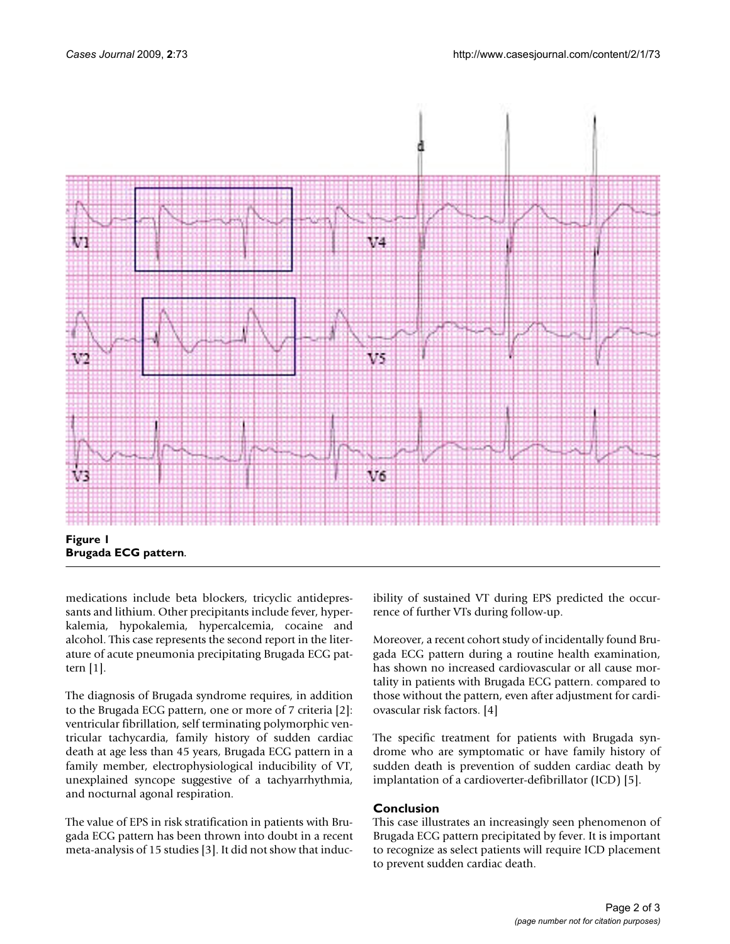

medications include beta blockers, tricyclic antidepressants and lithium. Other precipitants include fever, hyperkalemia, hypokalemia, hypercalcemia, cocaine and alcohol. This case represents the second report in the literature of acute pneumonia precipitating Brugada ECG pattern [1].

The diagnosis of Brugada syndrome requires, in addition to the Brugada ECG pattern, one or more of 7 criteria [2]: ventricular fibrillation, self terminating polymorphic ventricular tachycardia, family history of sudden cardiac death at age less than 45 years, Brugada ECG pattern in a family member, electrophysiological inducibility of VT, unexplained syncope suggestive of a tachyarrhythmia, and nocturnal agonal respiration.

The value of EPS in risk stratification in patients with Brugada ECG pattern has been thrown into doubt in a recent meta-analysis of 15 studies [3]. It did not show that inducibility of sustained VT during EPS predicted the occurrence of further VTs during follow-up.

Moreover, a recent cohort study of incidentally found Brugada ECG pattern during a routine health examination, has shown no increased cardiovascular or all cause mortality in patients with Brugada ECG pattern. compared to those without the pattern, even after adjustment for cardiovascular risk factors. [4]

The specific treatment for patients with Brugada syndrome who are symptomatic or have family history of sudden death is prevention of sudden cardiac death by implantation of a cardioverter-defibrillator (ICD) [5].

### **Conclusion**

This case illustrates an increasingly seen phenomenon of Brugada ECG pattern precipitated by fever. It is important to recognize as select patients will require ICD placement to prevent sudden cardiac death.